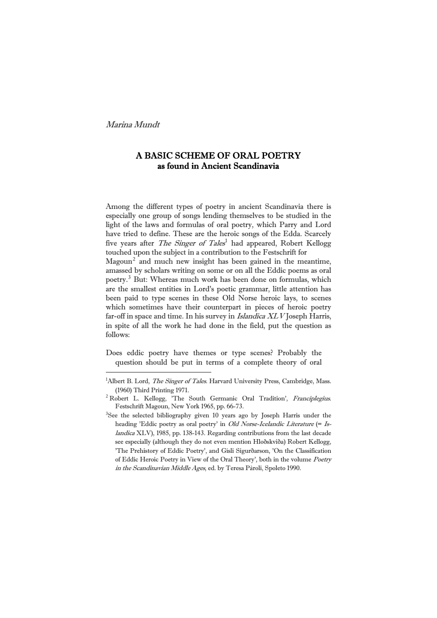È,

# A BASIC SCHEME OF ORAL POETRY as found in Ancient Scandinavia

Among the different types of poetry in ancient Scandinavia there is  $M$ agoun<sup>[2](#page-0-0)</sup> and much new insight has been gained in the meantime, especially one group of songs lending themselves to be studied in the light of the laws and formulas of oral poetry, which Parry and Lord have tried to define. These are the heroic songs of the Edda. Scarcely five years after The Singer of Tales<sup>[1](#page-0-0)</sup> had appeared, Robert Kellogg touched upon the subject in a contribution to the Festschrift for

amassed by scholars writing on some or on all the Eddic poems as oral poetry.[3](#page-0-1) But: Whereas much work has been done on formulas, which are the smallest entities in Lord's poetic grammar, little attention has been paid to type scenes in these Old Norse heroic lays, to scenes which sometimes have their counterpart in pieces of heroic poetry far-off in space and time. In his survey in Islandica XLV Joseph Harris, in spite of all the work he had done in the field, put the question as follows:

Does eddic poetry have themes or type scenes? Probably the question should be put in terms of a complete theory of oral

<span id="page-0-0"></span><sup>&</sup>lt;sup>1</sup>Albert B. Lord, *The Singer of Tales*. Harvard University Press, Cambridge, Mass. (1960) Third Printing 1971.

<span id="page-0-1"></span><sup>&</sup>lt;sup>2</sup> Robert L. Kellogg, 'The South Germanic Oral Tradition', Franciplegius. Festschrift Magoun, New York 1965, pp. 66-73.

<sup>&</sup>lt;sup>3</sup>See the selected bibliography given 10 years ago by Joseph Harris under the of Eddic Heroic Poetry in View of the Oral Theory', both in the volume Poetry in the Scandinavian Middle Ages, ed. by Teresa Pàroli, Spoleto 1990. heading 'Eddic poetry as oral poetry' in Old Norse-Icelandic Literature (= Islandica XLV), 1985, pp. 138-143. Regarding contributions from the last decade see especially (although they do not even mention Hloðskviða) Robert Kellogg, 'The Prehistory of Eddic Poetry', and Gísli Sigurðarson, 'On the Classification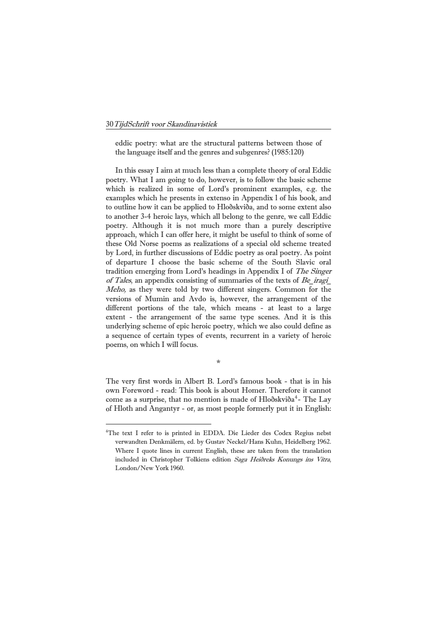<u>—</u>

eddic poetry: what are the structural patterns between those of the language itself and the genres and subgenres? (1985:120)

In this essay I aim at much less than a complete theory of oral Eddic poetry. What I am going to do, however, is to follow the basic scheme v ersions of Mumin and Avdo is, however, the arrangement of the d ifferent portions of the tale, which means - at least to a large which is realized in some of Lord's prominent examples, e.g. the examples which he presents in extenso in Appendix l of his book, and to outline how it can be applied to Hloðskviða, and to some extent also to another 3-4 heroic lays, which all belong to the genre, we call Eddic poetry. Although it is not much more than a purely descriptive approach, which I can offer here, it might be useful to think of some of these Old Norse poems as realizations of a special old scheme treated by Lord, in further discussions of Eddic poetry as oral poetry. As point of departure I choose the basic scheme of the South Slavic oral tradition emerging from Lord's headings in Appendix I of The Singer of Tales, an appendix consisting of summaries of the texts of  $Be$  iragi Meho, as they were told by two different singers. Common for the extent - the arrangement of the same type scenes. And it is this underlying scheme of epic heroic poetry, which we also could define as a sequence of certain types of events, recurrent in a variety of heroic poems, on which I will focus.

own Foreword - read: This book is about Homer. Therefore it cannot The very first words in Albert B. Lord's famous book - that is in his come as a surprise, that no mention is made of Hloðskviða<sup>[4](#page-1-0)</sup>- The Lay of Hloth and Angantyr - or, as most people formerly put it in English:

\*

<span id="page-1-0"></span><sup>4</sup> The text I refer to is printed in EDDA. Die Lieder des Codex Regius nebst London/New York 1960. verwandten Denkmälern, ed. by Gustav Neckel/Hans Kuhn, Heidelberg 1962. Where I quote lines in current English, these are taken from the translation included in Christopher Tolkiens edition Saga Heiðreks Konungs ins Vitra,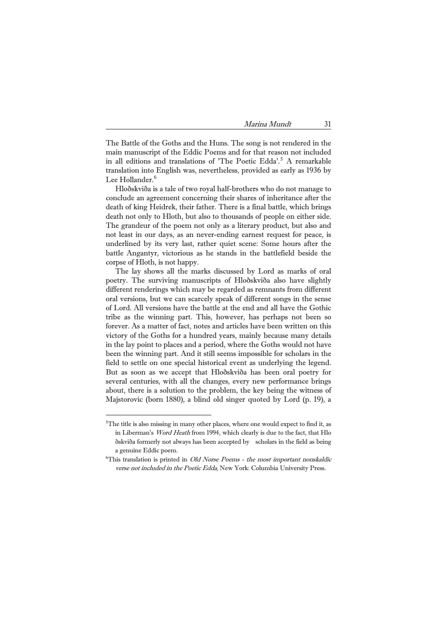The Battle of the Goths and the Huns. The song is not rendered in the main manuscript of the Eddic Poems and for that reason not included in all editions and translations of 'The Poetic Edda'.<sup>[5](#page-2-0)</sup> A remarkable translation into English was, nevertheless, provided as early as 1936 by Lee Hollander. [6](#page-2-1)

Hloðskviða is a tale of two royal half-brothers who do not manage to conclude an agreement concerning their shares of inheritance after the death of king Heidrek, their father. There is a final battle, which brings death not only to Hloth, but also to thousands of people on either side. The grandeur of the poem not only as a literary product, but also and not least in our days, as an never-ending earnest request for peace, is underlined by its very last, rather quiet scene: Some hours after the battle Angantyr, victorious as he stands in the battlefield beside the corpse of Hloth, is not happy.

The lay shows all the marks discussed by Lord as marks of oral several centuries, with all the changes, every new performance brings about, there is a solution to the problem, the key being the witness of M ajstorovic (born 1880), a blind old singer quoted by Lord (p. 19), a poetry. The surviving manuscripts of Hloðskviða also have slightly different renderings which may be regarded as remnants from different oral versions, but we can scarcely speak of different songs in the sense of Lord. All versions have the battle at the end and all have the Gothic tribe as the winning part. This, however, has perhaps not been so forever. As a matter of fact, notes and articles have been written on this victory of the Goths for a hundred years, mainly because many details in the lay point to places and a period, where the Goths would not have been the winning part. And it still seems impossible for scholars in the field to settle on one special historical event as underlying the legend. But as soon as we accept that Hloðskviða has been oral poetry for

-

<span id="page-2-0"></span> $5$ The title is also missing in many other places, where one would expect to find it, as in Liberman's Word Heath from 1994, which clearly is due to the fact, that Hlo ðskviða formerly not alw ays has been accepted by scholars in the field as being a genuine Eddic poem.

<span id="page-2-1"></span> ${}^{6}$ This translation is printed in *Old Norse Poems - the most important nonskaldic* verse not included in the Poetic Edda, New York: Columbia University Press.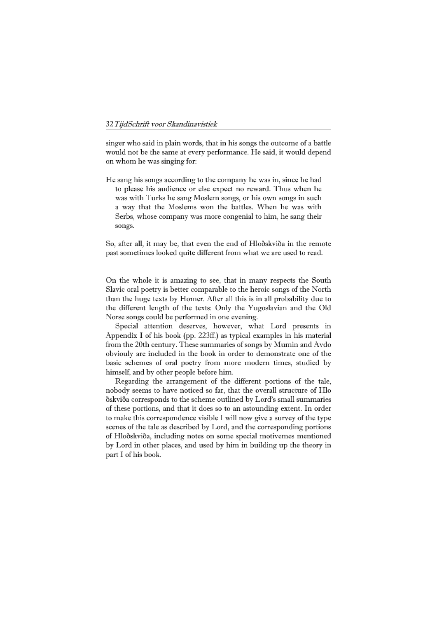singer who said in plain words, that in his songs the outcome of a battle would not be the same at every performance. He said, it would depend on whom he was singing for:

was with Turks he sang Moslem songs, or his own songs in such a way that the Moslems won the battles. When he was with He sang his songs according to the company he was in, since he had to please his audience or else expect no reward. Thus when he Serbs, whose company was more congenial to him, he sang their songs.

So , after all, it may be, that even the end of Hloðskviða in the remote pa st sometimes looked quite different from what we are used to read.

Slavic oral poetry is better comparable to the heroic songs of the North than the huge texts by Homer. After all this is in all probability due to the different length of the texts: Only the Yugoslavian and the Old On the whole it is amazing to see, that in many respects the South Norse songs could be performed in one evening.

obviouly are included in the book in order to demonstrate one of the Special attention deserves, however, what Lord presents in Appendix I of his book (pp. 223ff.) as typical examples in his material from the 20th century. These summaries of songs by Mumin and Avdo basic schemes of oral poetry from more modern times, studied by himself, and by other people before him.

of these portions, and that it does so to an astounding extent. In order Regarding the arrangement of the different portions of the tale, nobody seems to have noticed so far, that the overall structure of Hlo ðskviða corresponds to the scheme outlined by Lord's small summaries to make this correspondence visible I will now give a survey of the type scenes of the tale as described by Lord, and the corresponding portions of Hloðskviða, including notes on some special motivemes mentioned by Lord in other places, and used by him in building up the theory in part I of his book.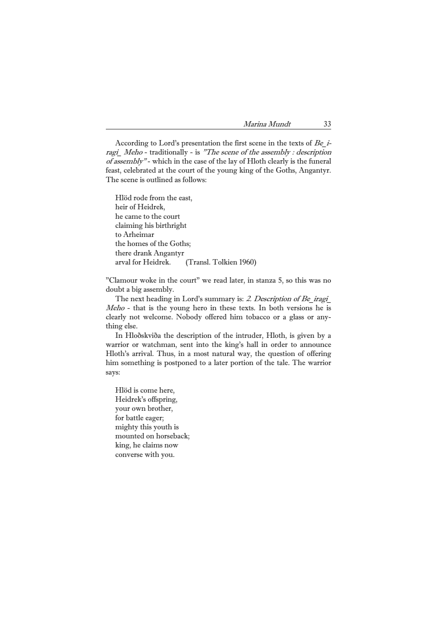feast, celebrated at the court of the young king of the Goths, Angantyr. According to Lord's presentation the first scene in the texts of Be\_iragi\_ Meho - traditionally - is "The scene of the assembly : description of assembly" - which in the case of the lay of Hloth clearly is the funeral The scene is outlined as follows:

claiming his birthright the homes of the Goths; (Transl. Tolkien 1960) Hlöd rode from the east, heir of Heidrek, he came to the court to Arheimar there drank Angantyr arval for Heidrek.

"Clamour woke in the court" we read later, in stanza 5, so this was no doubt a big assembly.

The next heading in Lord's summary is: 2. Description of Be\_iragi\_  $$ clearly not welcome. Nobody offered him tobacco or a glass or anything else.

him something is postponed to a later portion of the tale. The warrior In Hloðskviða the description of the intruder, Hloth, is given by a warrior or watchman, sent into the king's hall in order to announce Hloth's arrival. Thus, in a most natural way, the question of offering says:

your own brother, for battle eager; mounted on horseback; converse with you. Hlöd is come here, Heidrek's offspring, mighty this youth is king, he claims now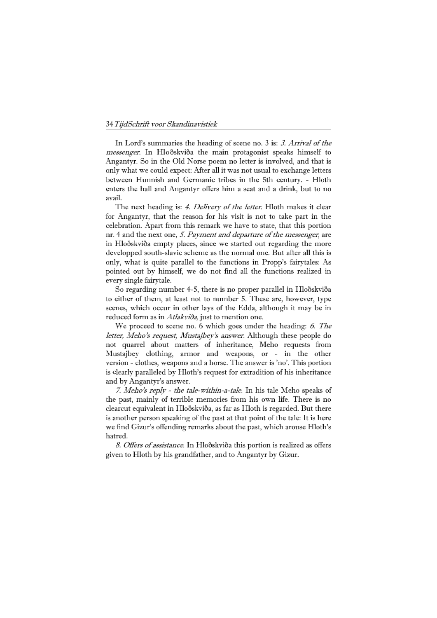In Lord's summaries the heading of scene no. 3 is: 3. Arrival of the messenger. In Hloðskviða the main protagonist speaks himself to Angantyr. So in the Old Norse poem no letter is involved, and that is only what we could expect: After all it was not usual to exchange letters between Hunnish and Germanic tribes in the 5th century. - Hloth a vail. enters the hall and Angantyr offers him a seat and a drink, but to no

in Hloðskviða empty places, since we started out regarding the more developped south-slavic scheme as the normal one. But after all this is The next heading is: 4. Delivery of the letter. Hloth makes it clear for Angantyr, that the reason for his visit is not to take part in the celebration. Apart from this remark we have to state, that this portion nr. 4 and the next one, 5. Payment and departure of the messenger, are only, what is quite parallel to the functions in Propp's fairytales: As pointed out by himself, we do not find all the functions realized in every single fairytale.

 So regarding number 4-5, there is no proper parallel in Hloðskviða to either of them, at least not to number 5. These are, however, type scenes, which occur in other lays of the Edda, although it may be in reduced form as in Atlakviða, just to mention one.

We proceed to scene no. 6 which goes under the heading: 6. The letter, Meho's request, Mustajbey's answer. Although these people do version - clothes, weapons and a horse. The answer is 'no'. This portion is clearly paralleled by Hloth's request for extradition of his inheritance not quarrel about matters of inheritance, Meho requests from Mustajbey clothing, armor and weapons, or - in the other and by Angantyr's answer.

we find Gizur's offending remarks about the past, which arouse Hloth's 7. Meho's reply - the tale-within-a-tale. In his tale Meho speaks of the past, mainly of terrible memories from his own life. There is no clearcut equivalent in Hloðskviða, as far as Hloth is regarded. But there is another person speaking of the past at that point of the tale: It is here hatred.

 8. Offers of assistance. In Hloðskviða this portion is realized as offers given to Hloth by his grandfather, and to Angantyr by Gizur.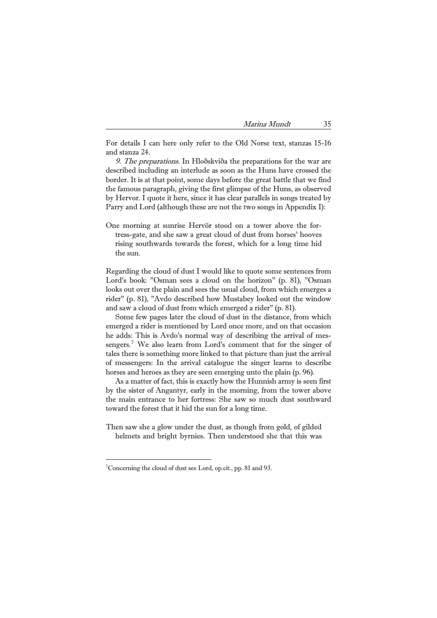For details I can here only refer to the Old Norse text, stanzas 15-16 and stanza 24.

9. The preparations. In Hloðskviða the preparations for the war are described including an interlude as soon as the Huns have crossed the border. It is at that point, some days before the great battle that we find by Hervor. I quote it here, since it has clear parallels in songs treated by Parry and Lord (although these are not the two songs in Appendix I): the famous paragraph, giving the first glimpse of the Huns, as observed

One morning at sunrise Hervör stood on a tower above the fortress-gate, and she saw a great cloud of dust from horses' hooves rising southwards towards the forest, which for a long time hid the sun.

Regarding the cloud of dust I would like to quote some sentences from Lord's book: "Osman sees a cloud on the horizon" (p. 81), "Osman looks out over the plain and sees the usual cloud, from which emerges a rider" (p. 81), "Avdo described how Mustabey looked out the window and saw a cloud of dust from which emerged a rider" (p. 81).

tales there is something more linked to that picture than just the arrival Some few pages later the cloud of dust in the distance, from which emerged a rider is mentioned by Lord once more, and on that occasion he adds: This is Avdo's normal way of describing the arrival of messengers.<sup>7</sup> We also learn from Lord's comment that for the singer of of messengers: In the arrival catalogue the singer learns to describe horses and heroes as they are seen emerging unto the plain (p. 96).

 As a matter of fact, this is exactly how the Hunnish army is seen first by the sister of Angantyr, early in the morning, from the tower above the main entrance to her fortress: She saw so much dust southward toward the forest that it hid the sun for a long time.

Then saw she a glow under the dust, as though from gold, of gilded helmets and bright byrnies. Then understood she that this was

<u>—</u>

<sup>7</sup> Concerning the cloud of dust see Lord, op.cit., pp. 81 and 93.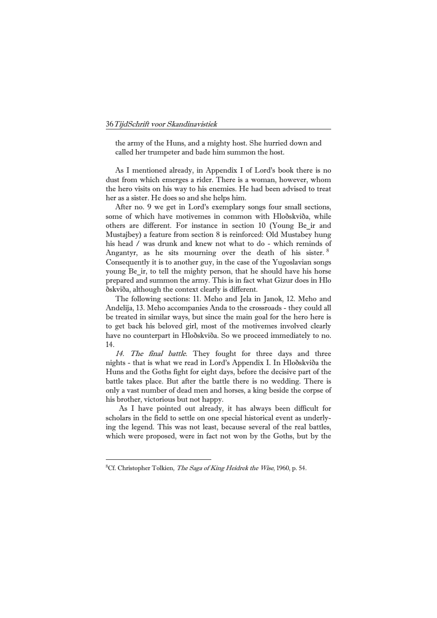called her trumpeter and bade him summon the host. the army of the Huns, and a mighty host. She hurried down and

du st from which emerges a rider. There is a woman, however, whom the hero visits on his way to his enemies. He had been advised to treat he r as a sister. He does so and she helps him. As I mentioned already, in Appendix I of Lord's book there is no

After no. 9 we get in Lord's exemplary songs four small sections, his head / was drunk and knew not what to do - which reminds of some of which have motivemes in common with Hloðskviða, while others are different. For instance in section 10 (Young Be\_ir and Mustajbey) a feature from section 8 is reinforced: Old Mustabey hung Angantyr, as he sits mourning over the death of his sister.  $8$ Consequently it is to another guy, in the case of the Yugoslavian songs young Be ir, to tell the mighty person, that he should have his horse prepared and summon the army. This is in fact what Gizur does in Hlo ðskviða, although the context clearly is different.

have no counterpart in Hloðskviða. So we proceed immediately to no. . 14 The following sections: 11. Meho and Jela in Janok, 12. Meho and Andelija, 13. Meho accompanies Anda to the crossroads - they could all be treated in similar ways, but since the main goal for the hero here is to get back his beloved girl, most of the motivemes involved clearly

only a vast number of dead men and horses, a king beside the corpse of his brother, victorious but not happy. 14. The final battle. They fought for three days and three nights - that is what we read in Lord's Appendix I. In Hloðskviða the Huns and the Goths fight for eight days, before the decisive part of the battle takes place. But after the battle there is no wedding. There is

which were proposed, were in fact not won by the Goths, but by the As I have pointed out already, it has always been difficult for scholars in the field to settle on one special historical event as underlying the legend. This was not least, because several of the real battles,

<u>—</u>

<span id="page-7-0"></span><sup>&</sup>lt;sup>8</sup>Cf. Christopher Tolkien, The Saga of King Heidrek the Wise, 1960, p. 54.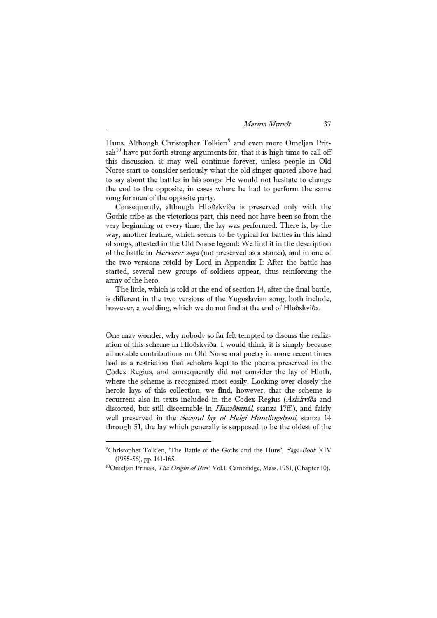$s$ ak $^{10}$  have put forth strong arguments for, that it is high time to call off Huns. Although Christopher Tolkien<sup>9</sup> and even more Omeljan Pritthis discussion, it may well continue forever, unless people in Old Norse start to consider seriously what the old singer quoted above had to say about the battles in his songs: He would not hesitate to change the end to the opposite, in cases where he had to perform the same song for men of the opposite party.

of the battle in *Hervarar saga* (not preserved as a stanza), and in one of Consequently, although Hloðskviða is preserved only with the Gothic tribe as the victorious part, this need not have been so from the very beginning or every time, the lay was performed. There is, by the way, another feature, which seems to be typical for battles in this kind of songs, attested in the Old Norse legend: We find it in the description the two versions retold by Lord in Appendix I: After the battle has started, several new groups of soldiers appear, thus reinforcing the army of the hero.

 The little, which is told at the end of section 14, after the final battle, is different in the two versions of the Yugoslavian song, both include, however, a wedding, which we do not find at the end of Hloðskviða.

One may wonder, why nobody so far felt tempted to discuss the realizhad as a restriction that scholars kept to the poems preserved in the Codex Regius, and consequently did not consider the lay of Hloth, where the scheme is recognized most easily. Looking over closely the through 51, the lay which generally is supposed to be the oldest of the ation of this scheme in Hloðskviða. I would think, it is simply because all notable contributions on Old Norse oral poetry in more recent times heroic lays of this collection, we find, however, that the scheme is recurrent also in texts included in the Codex Regius (Atlakviða and distorted, but still discernable in Hamðismál, stanza 17ff.), and fairly well preserved in the *Second lay of Helgi Hundingsbani*, stanza 14

È,

<sup>&</sup>lt;sup>9</sup>Christopher Tolkien, 'The Battle of the Goths and the Huns', Saga-Book XIV (1955-56), pp. 141-165.

<sup>&</sup>lt;sup>10</sup>Omeljan Pritsak, *The Origin of Rus'*, Vol.I, Cambridge, Mass. 1981, (Chapter 10).